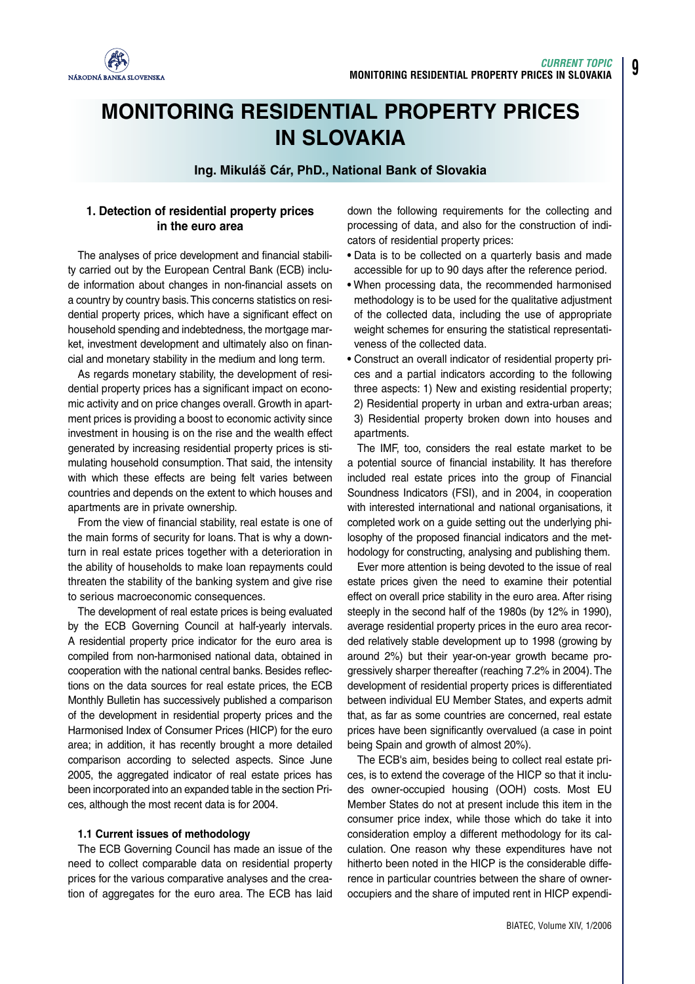

# **MONITORING RESIDENTIAL PROPERTY PRICES IN SLOVAKIA**

**Ing. Mikuláš Cár, PhD., National Bank of Slovakia**

# **1. Detection of residential property prices in the euro area**

The analyses of price development and financial stability carried out by the European Central Bank (ECB) include information about changes in non-financial assets on a country by country basis.This concerns statistics on residential property prices, which have a significant effect on household spending and indebtedness, the mortgage market, investment development and ultimately also on financial and monetary stability in the medium and long term.

As regards monetary stability, the development of residential property prices has a significant impact on economic activity and on price changes overall. Growth in apartment prices is providing a boost to economic activity since investment in housing is on the rise and the wealth effect generated by increasing residential property prices is stimulating household consumption. That said, the intensity with which these effects are being felt varies between countries and depends on the extent to which houses and apartments are in private ownership.

From the view of financial stability, real estate is one of the main forms of security for loans. That is why a downturn in real estate prices together with a deterioration in the ability of households to make loan repayments could threaten the stability of the banking system and give rise to serious macroeconomic consequences.

The development of real estate prices is being evaluated by the ECB Governing Council at half-yearly intervals. A residential property price indicator for the euro area is compiled from non-harmonised national data, obtained in cooperation with the national central banks. Besides reflections on the data sources for real estate prices, the ECB Monthly Bulletin has successively published a comparison of the development in residential property prices and the Harmonised Index of Consumer Prices (HICP) for the euro area; in addition, it has recently brought a more detailed comparison according to selected aspects. Since June 2005, the aggregated indicator of real estate prices has been incorporated into an expanded table in the section Prices, although the most recent data is for 2004.

#### **1.1 Current issues of methodology**

The ECB Governing Council has made an issue of the need to collect comparable data on residential property prices for the various comparative analyses and the creation of aggregates for the euro area. The ECB has laid down the following requirements for the collecting and processing of data, and also for the construction of indicators of residential property prices:

- **•** Data is to be collected on a quarterly basis and made accessible for up to 90 days after the reference period.
- **•** When processing data, the recommended harmonised methodology is to be used for the qualitative adjustment of the collected data, including the use of appropriate weight schemes for ensuring the statistical representativeness of the collected data.
- **•** Construct an overall indicator of residential property prices and a partial indicators according to the following three aspects: 1) New and existing residential property; 2) Residential property in urban and extra-urban areas; 3) Residential property broken down into houses and apartments.

The IMF, too, considers the real estate market to be a potential source of financial instability. It has therefore included real estate prices into the group of Financial Soundness Indicators (FSI), and in 2004, in cooperation with interested international and national organisations, it completed work on a guide setting out the underlying philosophy of the proposed financial indicators and the methodology for constructing, analysing and publishing them.

Ever more attention is being devoted to the issue of real estate prices given the need to examine their potential effect on overall price stability in the euro area. After rising steeply in the second half of the 1980s (by 12% in 1990), average residential property prices in the euro area recorded relatively stable development up to 1998 (growing by around 2%) but their year-on-year growth became progressively sharper thereafter (reaching 7.2% in 2004). The development of residential property prices is differentiated between individual EU Member States, and experts admit that, as far as some countries are concerned, real estate prices have been significantly overvalued (a case in point being Spain and growth of almost 20%).

The ECB's aim, besides being to collect real estate prices, is to extend the coverage of the HICP so that it includes owner-occupied housing (OOH) costs. Most EU Member States do not at present include this item in the consumer price index, while those which do take it into consideration employ a different methodology for its calculation. One reason why these expenditures have not hitherto been noted in the HICP is the considerable difference in particular countries between the share of owneroccupiers and the share of imputed rent in HICP expendi-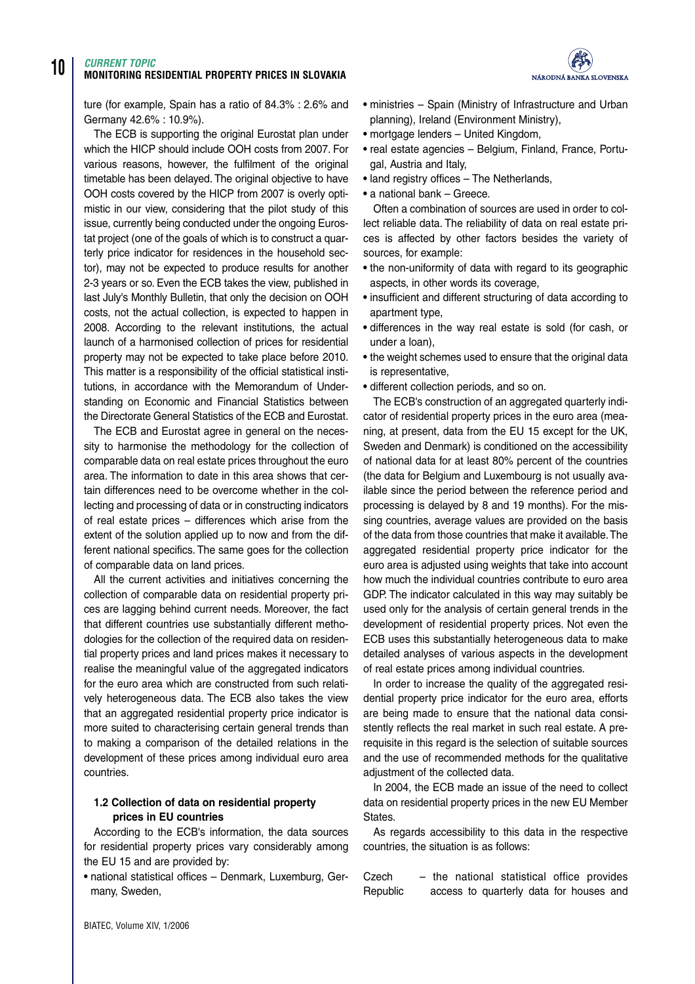# **10** *CURRENT TOPIC* **MONITORING RESIDENTIAL PROPERTY PRICES IN SLOVAKIA**



ture (for example, Spain has a ratio of 84.3% : 2.6% and Germany 42.6% : 10.9%).

The ECB is supporting the original Eurostat plan under which the HICP should include OOH costs from 2007. For various reasons, however, the fulfilment of the original timetable has been delayed. The original objective to have OOH costs covered by the HICP from 2007 is overly optimistic in our view, considering that the pilot study of this issue, currently being conducted under the ongoing Eurostat project (one of the goals of which is to construct a quarterly price indicator for residences in the household sector), may not be expected to produce results for another 2-3 years or so. Even the ECB takes the view, published in last July's Monthly Bulletin, that only the decision on OOH costs, not the actual collection, is expected to happen in 2008. According to the relevant institutions, the actual launch of a harmonised collection of prices for residential property may not be expected to take place before 2010. This matter is a responsibility of the official statistical institutions, in accordance with the Memorandum of Understanding on Economic and Financial Statistics between the Directorate General Statistics of the ECB and Eurostat.

The ECB and Eurostat agree in general on the necessity to harmonise the methodology for the collection of comparable data on real estate prices throughout the euro area. The information to date in this area shows that certain differences need to be overcome whether in the collecting and processing of data or in constructing indicators of real estate prices – differences which arise from the extent of the solution applied up to now and from the different national specifics. The same goes for the collection of comparable data on land prices.

All the current activities and initiatives concerning the collection of comparable data on residential property prices are lagging behind current needs. Moreover, the fact that different countries use substantially different methodologies for the collection of the required data on residential property prices and land prices makes it necessary to realise the meaningful value of the aggregated indicators for the euro area which are constructed from such relatively heterogeneous data. The ECB also takes the view that an aggregated residential property price indicator is more suited to characterising certain general trends than to making a comparison of the detailed relations in the development of these prices among individual euro area countries.

## **1.2 Collection of data on residential property prices in EU countries**

According to the ECB's information, the data sources for residential property prices vary considerably among the EU 15 and are provided by:

**•** national statistical offices – Denmark, Luxemburg, Germany, Sweden,

- **•** ministries Spain (Ministry of Infrastructure and Urban planning), Ireland (Environment Ministry),
- **•** mortgage lenders United Kingdom,
- **•** real estate agencies Belgium, Finland, France, Portugal, Austria and Italy,
- **•** land registry offices The Netherlands,
- **•** a national bank Greece.

Often a combination of sources are used in order to collect reliable data. The reliability of data on real estate prices is affected by other factors besides the variety of sources, for example:

- **•** the non-uniformity of data with regard to its geographic aspects, in other words its coverage,
- **•** insufficient and different structuring of data according to apartment type,
- **•** differences in the way real estate is sold (for cash, or under a loan),
- **•** the weight schemes used to ensure that the original data is representative,
- **•** different collection periods, and so on.

The ECB's construction of an aggregated quarterly indicator of residential property prices in the euro area (meaning, at present, data from the EU 15 except for the UK, Sweden and Denmark) is conditioned on the accessibility of national data for at least 80% percent of the countries (the data for Belgium and Luxembourg is not usually available since the period between the reference period and processing is delayed by 8 and 19 months). For the missing countries, average values are provided on the basis of the data from those countries that make it available.The aggregated residential property price indicator for the euro area is adjusted using weights that take into account how much the individual countries contribute to euro area GDP. The indicator calculated in this way may suitably be used only for the analysis of certain general trends in the development of residential property prices. Not even the ECB uses this substantially heterogeneous data to make detailed analyses of various aspects in the development of real estate prices among individual countries.

In order to increase the quality of the aggregated residential property price indicator for the euro area, efforts are being made to ensure that the national data consistently reflects the real market in such real estate. A prerequisite in this regard is the selection of suitable sources and the use of recommended methods for the qualitative adiustment of the collected data.

In 2004, the ECB made an issue of the need to collect data on residential property prices in the new EU Member States.

As regards accessibility to this data in the respective countries, the situation is as follows:

Czech – the national statistical office provides Republic access to quarterly data for houses and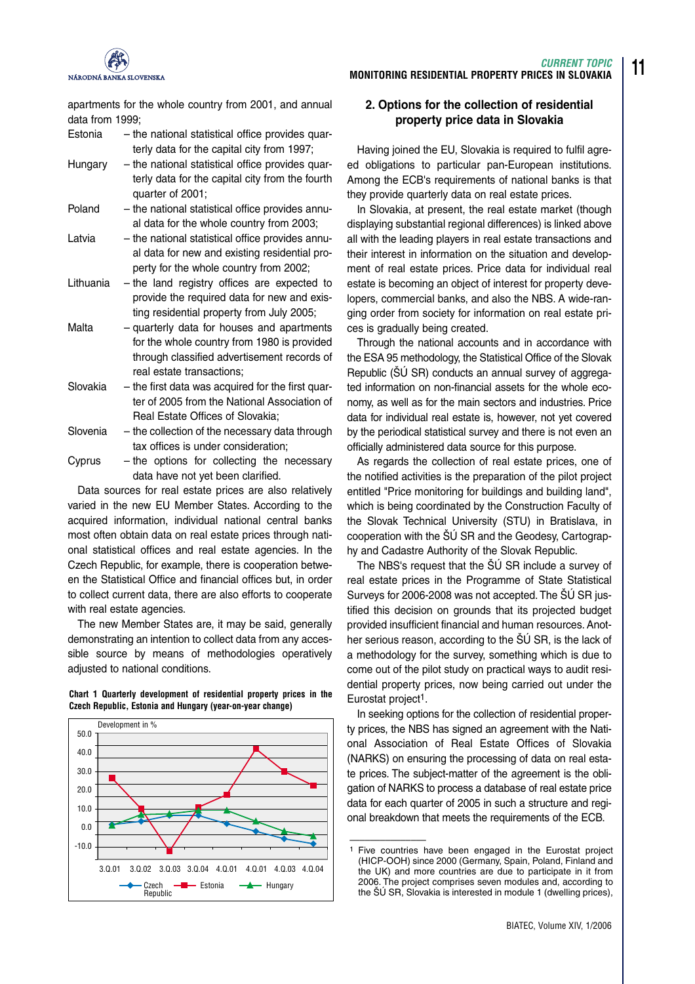

apartments for the whole country from 2001, and annual data from 1999;

- Estonia the national statistical office provides quarterly data for the capital city from 1997;
- Hungary the national statistical office provides quarterly data for the capital city from the fourth quarter of 2001;
- Poland the national statistical office provides annual data for the whole country from 2003;
- Latvia the national statistical office provides annual data for new and existing residential property for the whole country from 2002;
- Lithuania the land registry offices are expected to provide the required data for new and existing residential property from July 2005;
- Malta quarterly data for houses and apartments for the whole country from 1980 is provided through classified advertisement records of real estate transactions;
- Slovakia the first data was acquired for the first quarter of 2005 from the National Association of Real Estate Offices of Slovakia;
- Slovenia the collection of the necessary data through tax offices is under consideration;
- Cyprus the options for collecting the necessary data have not yet been clarified.

Data sources for real estate prices are also relatively varied in the new EU Member States. According to the acquired information, individual national central banks most often obtain data on real estate prices through national statistical offices and real estate agencies. In the Czech Republic, for example, there is cooperation between the Statistical Office and financial offices but, in order to collect current data, there are also efforts to cooperate with real estate agencies.

The new Member States are, it may be said, generally demonstrating an intention to collect data from any accessible source by means of methodologies operatively adjusted to national conditions.





# **MONITORING RESIDENTIAL PROPERTY PRICES IN SLOVAKIA**

**11**

*CURRENT TOPIC*

# **2. Options for the collection of residential property price data in Slovakia**

Having joined the EU, Slovakia is required to fulfil agreed obligations to particular pan-European institutions. Among the ECB's requirements of national banks is that they provide quarterly data on real estate prices.

In Slovakia, at present, the real estate market (though displaying substantial regional differences) is linked above all with the leading players in real estate transactions and their interest in information on the situation and development of real estate prices. Price data for individual real estate is becoming an object of interest for property developers, commercial banks, and also the NBS. A wide-ranging order from society for information on real estate prices is gradually being created.

Through the national accounts and in accordance with the ESA 95 methodology, the Statistical Office of the Slovak Republic (ŠÚ SR) conducts an annual survey of aggregated information on non-financial assets for the whole economy, as well as for the main sectors and industries. Price data for individual real estate is, however, not yet covered by the periodical statistical survey and there is not even an officially administered data source for this purpose.

As regards the collection of real estate prices, one of the notified activities is the preparation of the pilot project entitled "Price monitoring for buildings and building land", which is being coordinated by the Construction Faculty of the Slovak Technical University (STU) in Bratislava, in cooperation with the ŠÚ SR and the Geodesy, Cartography and Cadastre Authority of the Slovak Republic.

The NBS's request that the ŠÚ SR include a survey of real estate prices in the Programme of State Statistical Surveys for 2006-2008 was not accepted. The ŠÚ SR justified this decision on grounds that its projected budget provided insufficient financial and human resources. Another serious reason, according to the ŠÚ SR, is the lack of a methodology for the survey, something which is due to come out of the pilot study on practical ways to audit residential property prices, now being carried out under the Eurostat project<sup>1</sup>.

In seeking options for the collection of residential property prices, the NBS has signed an agreement with the National Association of Real Estate Offices of Slovakia (NARKS) on ensuring the processing of data on real estate prices. The subject-matter of the agreement is the obligation of NARKS to process a database of real estate price data for each quarter of 2005 in such a structure and regional breakdown that meets the requirements of the ECB.

–––––––––––––––

<sup>1</sup> Five countries have been engaged in the Eurostat project (HICP-OOH) since 2000 (Germany, Spain, Poland, Finland and the UK) and more countries are due to participate in it from 2006. The project comprises seven modules and, according to the ŠÚ SR, Slovakia is interested in module 1 (dwelling prices),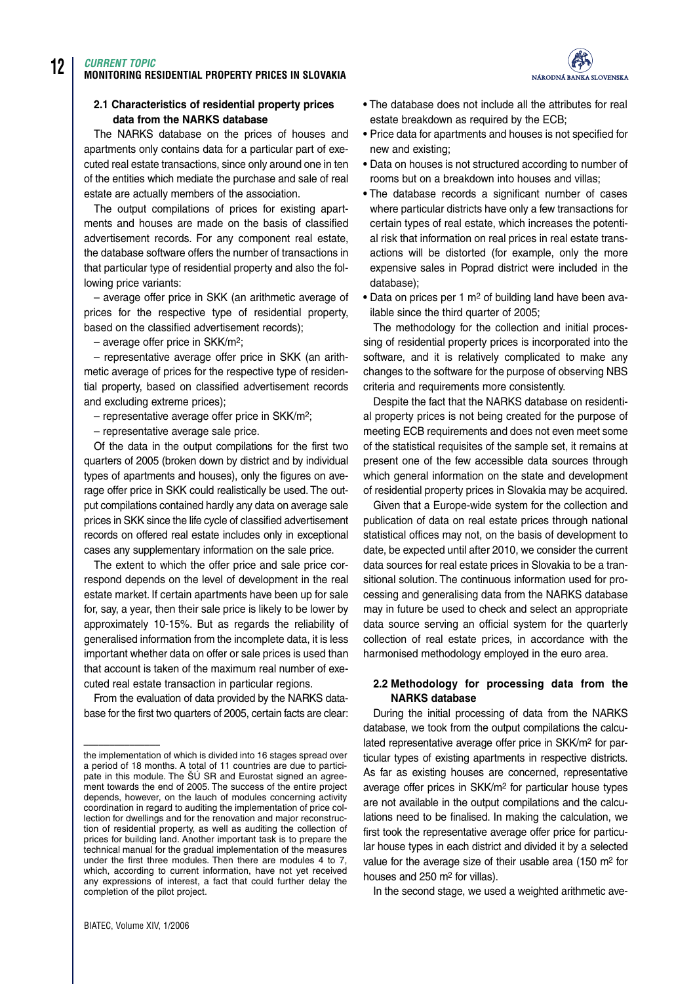# **12** *CURRENT TOPIC* **MONITORING RESIDENTIAL PROPERTY PRICES IN SLOVAKIA**

## **2.1 Characteristics of residential property prices data from the NARKS database**

The NARKS database on the prices of houses and apartments only contains data for a particular part of executed real estate transactions, since only around one in ten of the entities which mediate the purchase and sale of real estate are actually members of the association.

The output compilations of prices for existing apartments and houses are made on the basis of classified advertisement records. For any component real estate, the database software offers the number of transactions in that particular type of residential property and also the following price variants:

– average offer price in SKK (an arithmetic average of prices for the respective type of residential property, based on the classified advertisement records);

– average offer price in SKK/m2;

– representative average offer price in SKK (an arithmetic average of prices for the respective type of residential property, based on classified advertisement records and excluding extreme prices);

– representative average offer price in SKK/m2;

– representative average sale price.

Of the data in the output compilations for the first two quarters of 2005 (broken down by district and by individual types of apartments and houses), only the figures on average offer price in SKK could realistically be used. The output compilations contained hardly any data on average sale prices in SKK since the life cycle of classified advertisement records on offered real estate includes only in exceptional cases any supplementary information on the sale price.

The extent to which the offer price and sale price correspond depends on the level of development in the real estate market. If certain apartments have been up for sale for, say, a year, then their sale price is likely to be lower by approximately 10-15%. But as regards the reliability of generalised information from the incomplete data, it is less important whether data on offer or sale prices is used than that account is taken of the maximum real number of executed real estate transaction in particular regions.

From the evaluation of data provided by the NARKS database for the first two quarters of 2005, certain facts are clear:

–––––––––––––––

- **•** The database does not include all the attributes for real estate breakdown as required by the ECB;
- **•** Price data for apartments and houses is not specified for new and existing;
- **•** Data on houses is not structured according to number of rooms but on a breakdown into houses and villas;
- **•** The database records a significant number of cases where particular districts have only a few transactions for certain types of real estate, which increases the potential risk that information on real prices in real estate transactions will be distorted (for example, only the more expensive sales in Poprad district were included in the database);
- **•** Data on prices per 1 m2 of building land have been available since the third quarter of 2005;

The methodology for the collection and initial processing of residential property prices is incorporated into the software, and it is relatively complicated to make any changes to the software for the purpose of observing NBS criteria and requirements more consistently.

Despite the fact that the NARKS database on residential property prices is not being created for the purpose of meeting ECB requirements and does not even meet some of the statistical requisites of the sample set, it remains at present one of the few accessible data sources through which general information on the state and development of residential property prices in Slovakia may be acquired.

Given that a Europe-wide system for the collection and publication of data on real estate prices through national statistical offices may not, on the basis of development to date, be expected until after 2010, we consider the current data sources for real estate prices in Slovakia to be a transitional solution. The continuous information used for processing and generalising data from the NARKS database may in future be used to check and select an appropriate data source serving an official system for the quarterly collection of real estate prices, in accordance with the harmonised methodology employed in the euro area.

# **2.2 Methodology for processing data from the NARKS database**

During the initial processing of data from the NARKS database, we took from the output compilations the calculated representative average offer price in SKK/m2 for particular types of existing apartments in respective districts. As far as existing houses are concerned, representative average offer prices in SKK/m2 for particular house types are not available in the output compilations and the calculations need to be finalised. In making the calculation, we first took the representative average offer price for particular house types in each district and divided it by a selected value for the average size of their usable area (150 m2 for houses and 250 m2 for villas).

In the second stage, we used a weighted arithmetic ave-



the implementation of which is divided into 16 stages spread over a period of 18 months. A total of 11 countries are due to participate in this module. The ŠÚ SR and Eurostat signed an agreement towards the end of 2005. The success of the entire project depends, however, on the lauch of modules concerning activity coordination in regard to auditing the implementation of price collection for dwellings and for the renovation and major reconstruction of residential property, as well as auditing the collection of prices for building land. Another important task is to prepare the technical manual for the gradual implementation of the measures under the first three modules. Then there are modules 4 to 7, which, according to current information, have not yet received any expressions of interest, a fact that could further delay the completion of the pilot project.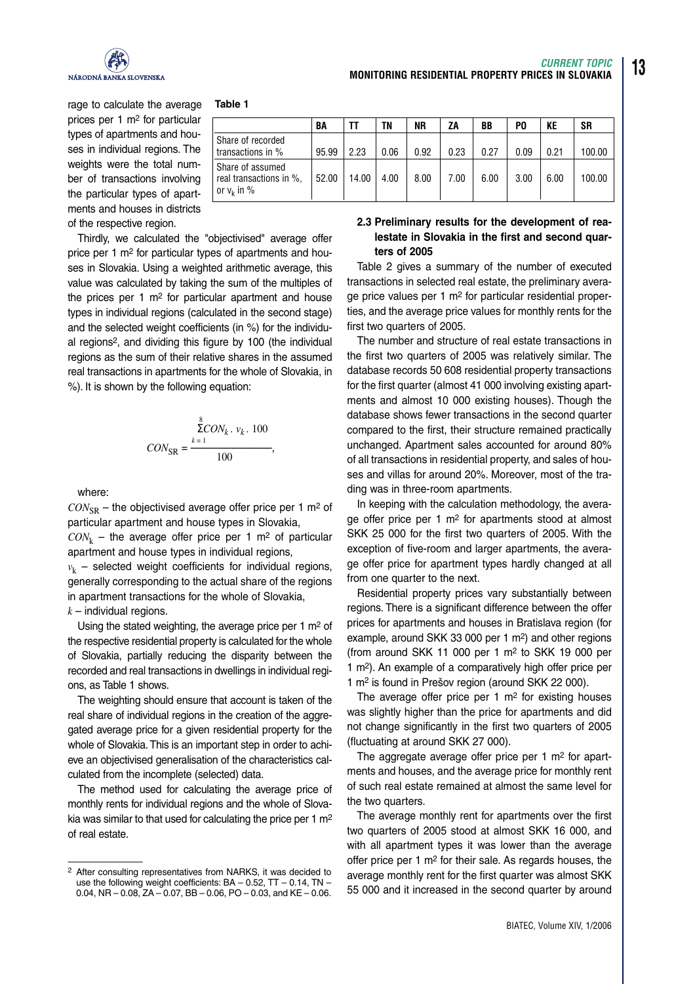

rage to calculate the average prices per 1 m2 for particular types of apartments and houses in individual regions. The weights were the total number of transactions involving the particular types of apartments and houses in districts of the respective region.

#### **Table 1**

|                                                                 | BA    |       | ΤN   | ΝR   | ΖA   | BB   | P0   | KE   | SR     |
|-----------------------------------------------------------------|-------|-------|------|------|------|------|------|------|--------|
| Share of recorded<br>transactions in %                          | 95.99 | 2.23  | 0.06 | 0.92 | 0.23 | 0.27 | 0.09 | 0.21 | 100.00 |
| Share of assumed<br>real transactions in %,<br>or $v_k$ in $\%$ | 52.00 | 14.00 | 4.00 | 8.00 | 7.00 | 6.00 | 3.00 | 6.00 | 100.00 |

Thirdly, we calculated the "objectivised" average offer price per 1 m2 for particular types of apartments and houses in Slovakia. Using a weighted arithmetic average, this value was calculated by taking the sum of the multiples of the prices per 1  $m<sup>2</sup>$  for particular apartment and house types in individual regions (calculated in the second stage) and the selected weight coefficients (in %) for the individual regions2, and dividing this figure by 100 (the individual regions as the sum of their relative shares in the assumed real transactions in apartments for the whole of Slovakia, in %). It is shown by the following equation:

$$
CON_{SR} = \frac{{\sum_{k=1}^{8}CON_k, v_k, 100}}{{100}},
$$

where:

 $CON_{SP}$  – the objectivised average offer price per 1 m<sup>2</sup> of particular apartment and house types in Slovakia,

 $CON_k$  – the average offer price per 1 m<sup>2</sup> of particular apartment and house types in individual regions,

 $v_k$  – selected weight coefficients for individual regions, generally corresponding to the actual share of the regions in apartment transactions for the whole of Slovakia,

 $k$  – individual regions.

Using the stated weighting, the average price per 1 m2 of the respective residential property is calculated for the whole of Slovakia, partially reducing the disparity between the recorded and real transactions in dwellings in individual regions, as Table 1 shows.

The weighting should ensure that account is taken of the real share of individual regions in the creation of the aggregated average price for a given residential property for the whole of Slovakia. This is an important step in order to achieve an objectivised generalisation of the characteristics calculated from the incomplete (selected) data.

The method used for calculating the average price of monthly rents for individual regions and the whole of Slovakia was similar to that used for calculating the price per 1 m2 of real estate.

# **2.3 Preliminary results for the development of realestate in Slovakia in the first and second quarters of 2005**

**MONITORING RESIDENTIAL PROPERTY PRICES IN SLOVAKIA**

Table 2 gives a summary of the number of executed transactions in selected real estate, the preliminary average price values per 1 m<sup>2</sup> for particular residential properties, and the average price values for monthly rents for the first two quarters of 2005.

The number and structure of real estate transactions in the first two quarters of 2005 was relatively similar. The database records 50 608 residential property transactions for the first quarter (almost 41 000 involving existing apartments and almost 10 000 existing houses). Though the database shows fewer transactions in the second quarter compared to the first, their structure remained practically unchanged. Apartment sales accounted for around 80% of all transactions in residential property, and sales of houses and villas for around 20%. Moreover, most of the trading was in three-room apartments.

In keeping with the calculation methodology, the average offer price per 1 m2 for apartments stood at almost SKK 25 000 for the first two quarters of 2005. With the exception of five-room and larger apartments, the average offer price for apartment types hardly changed at all from one quarter to the next.

Residential property prices vary substantially between regions. There is a significant difference between the offer prices for apartments and houses in Bratislava region (for example, around SKK 33 000 per 1 m2) and other regions (from around SKK 11 000 per 1  $m<sup>2</sup>$  to SKK 19 000 per 1 m2). An example of a comparatively high offer price per 1 m2 is found in Prešov region (around SKK 22 000).

The average offer price per  $1 \text{ m}^2$  for existing houses was slightly higher than the price for apartments and did not change significantly in the first two quarters of 2005 (fluctuating at around SKK 27 000).

The aggregate average offer price per 1 m<sup>2</sup> for apartments and houses, and the average price for monthly rent of such real estate remained at almost the same level for the two quarters.

The average monthly rent for apartments over the first two quarters of 2005 stood at almost SKK 16 000, and with all apartment types it was lower than the average offer price per 1 m2 for their sale. As regards houses, the average monthly rent for the first quarter was almost SKK 55 000 and it increased in the second quarter by around

BIATEC, Volume XIV, 1/2006

*CURRENT TOPIC*

<sup>–––––––––––––––</sup> 2 After consulting representatives from NARKS, it was decided to use the following weight coefficients: BA – 0.52, TT – 0.14, TN – 0.04, NR – 0.08, ZA – 0.07, BB – 0.06, PO – 0.03, and KE – 0.06.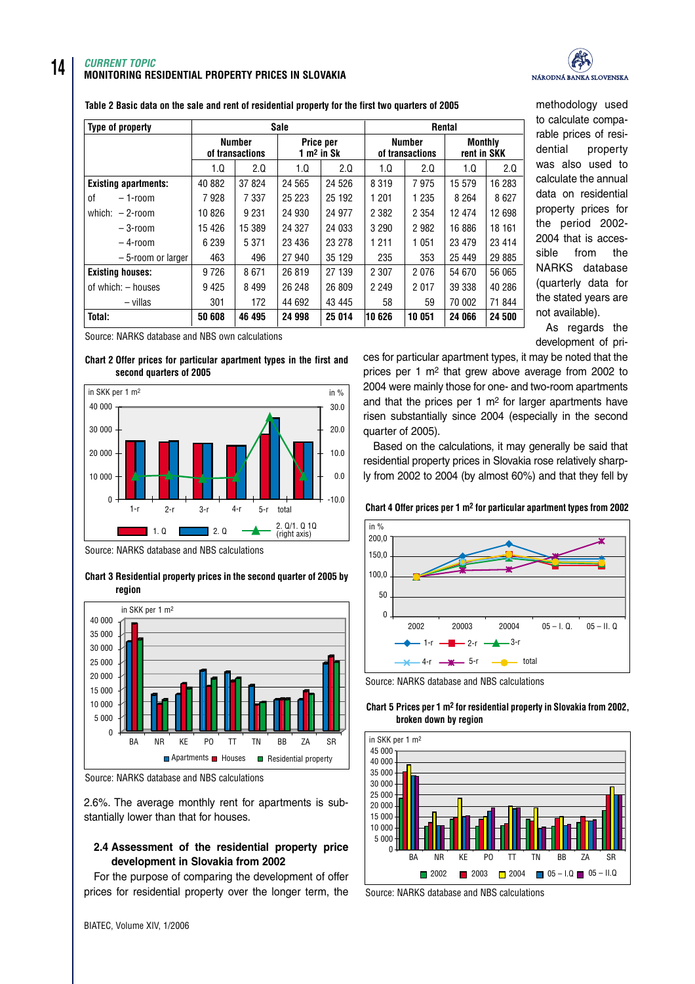## *CURRENT TOPIC* **MONITORING RESIDENTIAL PROPERTY PRICES IN SLOVAKIA**



methodology used

| Table 2 Basic data on the sale and rent of residential property for the first two quarters of 2005 |  |
|----------------------------------------------------------------------------------------------------|--|
|----------------------------------------------------------------------------------------------------|--|

| <b>Type of property</b>     | <b>Sale</b>                      |         |         |                           | Rental                           |         |                               |         |
|-----------------------------|----------------------------------|---------|---------|---------------------------|----------------------------------|---------|-------------------------------|---------|
|                             | <b>Number</b><br>of transactions |         |         | Price per<br>$1 m2$ in Sk | <b>Number</b><br>of transactions |         | <b>Monthly</b><br>rent in SKK |         |
|                             | 1.Q                              | 2.0     | 1.0     | 2.0                       | 1.Q                              | 2.0     | 1.0                           | 2.0     |
| <b>Existing apartments:</b> | 40 882                           | 37 824  | 24 565  | 24 5 26                   | 8 3 1 9                          | 7975    | 15 579                        | 16 283  |
| 0f<br>$-1$ -room            | 7928                             | 7 3 3 7 | 25 223  | 25 192                    | 1 201                            | 1 2 3 5 | 8 2 6 4                       | 8627    |
| which: $-2$ -room           | 10826                            | 9 2 3 1 | 24 930  | 24 977                    | 2 3 8 2                          | 2 3 5 4 | 12 4 74                       | 12 698  |
| $-3$ -room                  | 15 4 26                          | 15 389  | 24 3 27 | 24 033                    | 3 2 9 0                          | 2 9 8 2 | 16 886                        | 18 161  |
| $-4$ -room                  | 6 2 3 9                          | 5 3 7 1 | 23 4 36 | 23 278                    | 1 2 1 1                          | 1 0 5 1 | 23 4 79                       | 23 4 14 |
| -5-room or larger           | 463                              | 496     | 27 940  | 35 129                    | 235                              | 353     | 25 4 49                       | 29 885  |
| <b>Existing houses:</b>     | 9726                             | 8671    | 26 819  | 27 139                    | 2 3 0 7                          | 2076    | 54 670                        | 56 065  |
| of which: - houses          | 9 4 2 5                          | 8 4 9 9 | 26 248  | 26 809                    | 2 2 4 9                          | 2017    | 39 338                        | 40 286  |
| – villas                    | 301                              | 172     | 44 692  | 43 445                    | 58                               | 59      | 70 002                        | 71 844  |
| Total:                      | 50 608                           | 46 495  | 24 998  | 25 014                    | 10626                            | 10 051  | 24 066                        | 24 500  |

Source: NARKS database and NBS own calculations

#### **Chart 2 Offer prices for particular apartment types in the first and second quarters of 2005**



Source: NARKS database and NBS calculations





Source: NARKS database and NBS calculations

2.6%. The average monthly rent for apartments is substantially lower than that for houses.

## **2.4 Assessment of the residential property price development in Slovakia from 2002**

For the purpose of comparing the development of offer prices for residential property over the longer term, the to calculate comparable prices of residential property was also used to calculate the annual data on residential property prices for the period 2002- 2004 that is accessible from the NARKS database (quarterly data for the stated years are not available).

As regards the development of pri-

ces for particular apartment types, it may be noted that the prices per 1 m2 that grew above average from 2002 to 2004 were mainly those for one- and two-room apartments and that the prices per 1  $m<sup>2</sup>$  for larger apartments have risen substantially since 2004 (especially in the second quarter of 2005).

Based on the calculations, it may generally be said that residential property prices in Slovakia rose relatively sharply from 2002 to 2004 (by almost 60%) and that they fell by

**Chart 4 Offer prices per 1 m2 for particular apartment types from 2002**



Source: NARKS database and NBS calculations





Source: NARKS database and NBS calculations